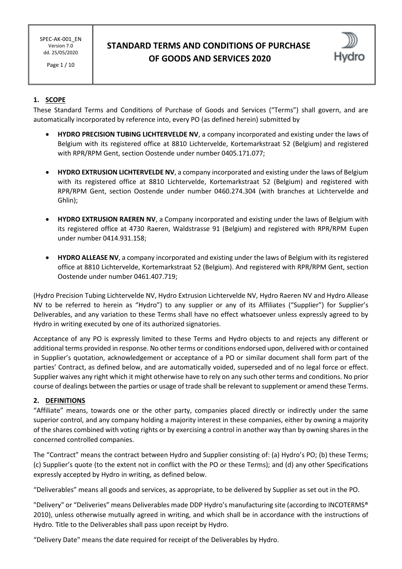Page 1 / 10

# **STANDARD TERMS AND CONDITIONS OF PURCHASE OF GOODS AND SERVICES 2020**



## **1. SCOPE**

These Standard Terms and Conditions of Purchase of Goods and Services ("Terms") shall govern, and are automatically incorporated by reference into, every PO (as defined herein) submitted by

- **HYDRO PRECISION TUBING LICHTERVELDE NV**, a company incorporated and existing under the laws of Belgium with its registered office at 8810 Lichtervelde, Kortemarkstraat 52 (Belgium) and registered with RPR/RPM Gent, section Oostende under number 0405.171.077;
- **HYDRO EXTRUSION LICHTERVELDE NV**, a company incorporated and existing under the laws of Belgium with its registered office at 8810 Lichtervelde, Kortemarkstraat 52 (Belgium) and registered with RPR/RPM Gent, section Oostende under number 0460.274.304 (with branches at Lichtervelde and Ghlin);
- **HYDRO EXTRUSION RAEREN NV**, a Company incorporated and existing under the laws of Belgium with its registered office at 4730 Raeren, Waldstrasse 91 (Belgium) and registered with RPR/RPM Eupen under number 0414.931.158;
- **HYDRO ALLEASE NV**, a company incorporated and existing under the laws of Belgium with its registered office at 8810 Lichtervelde, Kortemarkstraat 52 (Belgium). And registered with RPR/RPM Gent, section Oostende under number 0461.407.719;

(Hydro Precision Tubing Lichtervelde NV, Hydro Extrusion Lichtervelde NV, Hydro Raeren NV and Hydro Allease NV to be referred to herein as "Hydro") to any supplier or any of its Affiliates ("Supplier") for Supplier's Deliverables, and any variation to these Terms shall have no effect whatsoever unless expressly agreed to by Hydro in writing executed by one of its authorized signatories.

Acceptance of any PO is expressly limited to these Terms and Hydro objects to and rejects any different or additional terms provided in response. No other terms or conditions endorsed upon, delivered with or contained in Supplier's quotation, acknowledgement or acceptance of a PO or similar document shall form part of the parties' Contract, as defined below, and are automatically voided, superseded and of no legal force or effect. Supplier waives any right which it might otherwise have to rely on any such other terms and conditions. No prior course of dealings between the parties or usage of trade shall be relevant to supplement or amend these Terms.

### **2. DEFINITIONS**

"Affiliate" means, towards one or the other party, companies placed directly or indirectly under the same superior control, and any company holding a majority interest in these companies, either by owning a majority of the shares combined with voting rights or by exercising a control in another way than by owning shares in the concerned controlled companies.

The "Contract" means the contract between Hydro and Supplier consisting of: (a) Hydro's PO; (b) these Terms; (c) Supplier's quote (to the extent not in conflict with the PO or these Terms); and (d) any other Specifications expressly accepted by Hydro in writing, as defined below.

"Deliverables" means all goods and services, as appropriate, to be delivered by Supplier as set out in the PO.

"Delivery" or "Deliveries" means Deliverables made DDP Hydro's manufacturing site (according to INCOTERMS® 2010), unless otherwise mutually agreed in writing, and which shall be in accordance with the instructions of Hydro. Title to the Deliverables shall pass upon receipt by Hydro.

"Delivery Date" means the date required for receipt of the Deliverables by Hydro.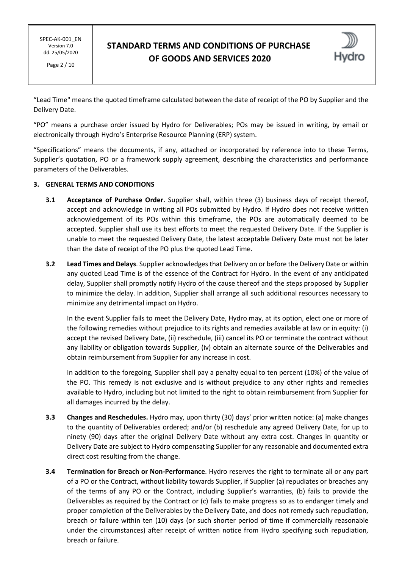Page 2 / 10

## **STANDARD TERMS AND CONDITIONS OF PURCHASE OF GOODS AND SERVICES 2020**



"Lead Time" means the quoted timeframe calculated between the date of receipt of the PO by Supplier and the Delivery Date.

"PO" means a purchase order issued by Hydro for Deliverables; POs may be issued in writing, by email or electronically through Hydro's Enterprise Resource Planning (ERP) system.

"Specifications" means the documents, if any, attached or incorporated by reference into to these Terms, Supplier's quotation, PO or a framework supply agreement, describing the characteristics and performance parameters of the Deliverables.

#### **3. GENERAL TERMS AND CONDITIONS**

- **3.1 Acceptance of Purchase Order.** Supplier shall, within three (3) business days of receipt thereof, accept and acknowledge in writing all POs submitted by Hydro. If Hydro does not receive written acknowledgement of its POs within this timeframe, the POs are automatically deemed to be accepted. Supplier shall use its best efforts to meet the requested Delivery Date. If the Supplier is unable to meet the requested Delivery Date, the latest acceptable Delivery Date must not be later than the date of receipt of the PO plus the quoted Lead Time.
- **3.2 Lead Times and Delays**. Supplier acknowledges that Delivery on or before the Delivery Date or within any quoted Lead Time is of the essence of the Contract for Hydro. In the event of any anticipated delay, Supplier shall promptly notify Hydro of the cause thereof and the steps proposed by Supplier to minimize the delay. In addition, Supplier shall arrange all such additional resources necessary to minimize any detrimental impact on Hydro.

In the event Supplier fails to meet the Delivery Date, Hydro may, at its option, elect one or more of the following remedies without prejudice to its rights and remedies available at law or in equity: (i) accept the revised Delivery Date, (ii) reschedule, (iii) cancel its PO or terminate the contract without any liability or obligation towards Supplier, (iv) obtain an alternate source of the Deliverables and obtain reimbursement from Supplier for any increase in cost.

In addition to the foregoing, Supplier shall pay a penalty equal to ten percent (10%) of the value of the PO. This remedy is not exclusive and is without prejudice to any other rights and remedies available to Hydro, including but not limited to the right to obtain reimbursement from Supplier for all damages incurred by the delay.

- **3.3 Changes and Reschedules.** Hydro may, upon thirty (30) days' prior written notice: (a) make changes to the quantity of Deliverables ordered; and/or (b) reschedule any agreed Delivery Date, for up to ninety (90) days after the original Delivery Date without any extra cost. Changes in quantity or Delivery Date are subject to Hydro compensating Supplier for any reasonable and documented extra direct cost resulting from the change.
- **3.4 Termination for Breach or Non-Performance**. Hydro reserves the right to terminate all or any part of a PO or the Contract, without liability towards Supplier, if Supplier (a) repudiates or breaches any of the terms of any PO or the Contract, including Supplier's warranties, (b) fails to provide the Deliverables as required by the Contract or (c) fails to make progress so as to endanger timely and proper completion of the Deliverables by the Delivery Date, and does not remedy such repudiation, breach or failure within ten (10) days (or such shorter period of time if commercially reasonable under the circumstances) after receipt of written notice from Hydro specifying such repudiation, breach or failure.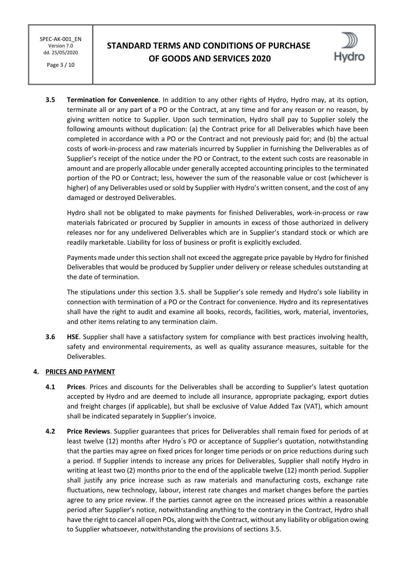Page 3 / 10

# **STANDARD TERMS AND CONDITIONS OF PURCHASE OF GOODS AND SERVICES 2020**



**3.5 Termination for Convenience**. In addition to any other rights of Hydro, Hydro may, at its option, terminate all or any part of a PO or the Contract, at any time and for any reason or no reason, by giving written notice to Supplier. Upon such termination, Hydro shall pay to Supplier solely the following amounts without duplication: (a) the Contract price for all Deliverables which have been completed in accordance with a PO or the Contract and not previously paid for; and (b) the actual costs of work-in-process and raw materials incurred by Supplier in furnishing the Deliverables as of Supplier's receipt of the notice under the PO or Contract, to the extent such costs are reasonable in amount and are properly allocable under generally accepted accounting principles to the terminated portion of the PO or Contract; less, however the sum of the reasonable value or cost (whichever is higher) of any Deliverables used or sold by Supplier with Hydro's written consent, and the cost of any damaged or destroyed Deliverables.

Hydro shall not be obligated to make payments for finished Deliverables, work-in-process or raw materials fabricated or procured by Supplier in amounts in excess of those authorized in delivery releases nor for any undelivered Deliverables which are in Supplier's standard stock or which are readily marketable. Liability for loss of business or profit is explicitly excluded.

Payments made under this section shall not exceed the aggregate price payable by Hydro for finished Deliverables that would be produced by Supplier under delivery or release schedules outstanding at the date of termination.

The stipulations under this section 3.5. shall be Supplier's sole remedy and Hydro's sole liability in connection with termination of a PO or the Contract for convenience. Hydro and its representatives shall have the right to audit and examine all books, records, facilities, work, material, inventories, and other items relating to any termination claim.

**3.6 HSE**. Supplier shall have a satisfactory system for compliance with best practices involving health, safety and environmental requirements, as well as quality assurance measures, suitable for the Deliverables.

### **4. PRICES AND PAYMENT**

- **4.1 Prices**. Prices and discounts for the Deliverables shall be according to Supplier's latest quotation accepted by Hydro and are deemed to include all insurance, appropriate packaging, export duties and freight charges (if applicable), but shall be exclusive of Value Added Tax (VAT), which amount shall be indicated separately in Supplier's invoice.
- **4.2 Price Reviews**. Supplier guarantees that prices for Deliverables shall remain fixed for periods of at least twelve (12) months after Hydro´s PO or acceptance of Supplier's quotation, notwithstanding that the parties may agree on fixed prices for longer time periods or on price reductions during such a period. If Supplier intends to increase any prices for Deliverables, Supplier shall notify Hydro in writing at least two (2) months prior to the end of the applicable twelve (12) month period. Supplier shall justify any price increase such as raw materials and manufacturing costs, exchange rate fluctuations, new technology, labour, interest rate changes and market changes before the parties agree to any price review. If the parties cannot agree on the increased prices within a reasonable period after Supplier's notice, notwithstanding anything to the contrary in the Contract, Hydro shall have the right to cancel all open POs, along with the Contract, without any liability or obligation owing to Supplier whatsoever, notwithstanding the provisions of sections 3.5.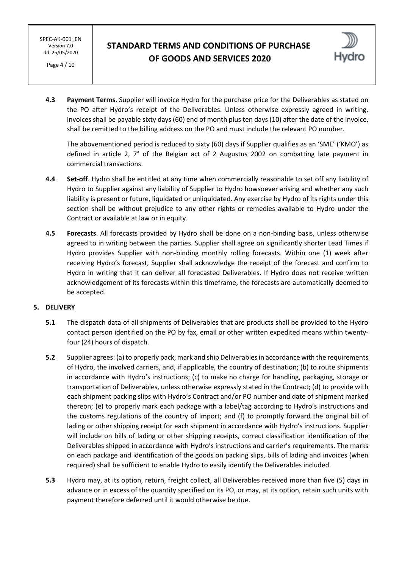Page 4 / 10

## **STANDARD TERMS AND CONDITIONS OF PURCHASE OF GOODS AND SERVICES 2020**



**4.3 Payment Terms**. Supplier will invoice Hydro for the purchase price for the Deliverables as stated on the PO after Hydro's receipt of the Deliverables. Unless otherwise expressly agreed in writing, invoices shall be payable sixty days (60) end of month plus ten days (10) after the date of the invoice, shall be remitted to the billing address on the PO and must include the relevant PO number.

The abovementioned period is reduced to sixty (60) days if Supplier qualifies as an 'SME' ('KMO') as defined in article 2, 7° of the Belgian act of 2 Augustus 2002 on combatting late payment in commercial transactions.

- **4.4 Set-off**. Hydro shall be entitled at any time when commercially reasonable to set off any liability of Hydro to Supplier against any liability of Supplier to Hydro howsoever arising and whether any such liability is present or future, liquidated or unliquidated. Any exercise by Hydro of its rights under this section shall be without prejudice to any other rights or remedies available to Hydro under the Contract or available at law or in equity.
- **4.5 Forecasts**. All forecasts provided by Hydro shall be done on a non-binding basis, unless otherwise agreed to in writing between the parties. Supplier shall agree on significantly shorter Lead Times if Hydro provides Supplier with non-binding monthly rolling forecasts. Within one (1) week after receiving Hydro's forecast, Supplier shall acknowledge the receipt of the forecast and confirm to Hydro in writing that it can deliver all forecasted Deliverables. If Hydro does not receive written acknowledgement of its forecasts within this timeframe, the forecasts are automatically deemed to be accepted.

### **5. DELIVERY**

- **5.1** The dispatch data of all shipments of Deliverables that are products shall be provided to the Hydro contact person identified on the PO by fax, email or other written expedited means within twentyfour (24) hours of dispatch.
- **5.2** Supplier agrees: (a) to properly pack, mark and ship Deliverables in accordance with the requirements of Hydro, the involved carriers, and, if applicable, the country of destination; (b) to route shipments in accordance with Hydro's instructions; (c) to make no charge for handling, packaging, storage or transportation of Deliverables, unless otherwise expressly stated in the Contract; (d) to provide with each shipment packing slips with Hydro's Contract and/or PO number and date of shipment marked thereon; (e) to properly mark each package with a label/tag according to Hydro's instructions and the customs regulations of the country of import; and (f) to promptly forward the original bill of lading or other shipping receipt for each shipment in accordance with Hydro's instructions. Supplier will include on bills of lading or other shipping receipts, correct classification identification of the Deliverables shipped in accordance with Hydro's instructions and carrier's requirements. The marks on each package and identification of the goods on packing slips, bills of lading and invoices (when required) shall be sufficient to enable Hydro to easily identify the Deliverables included.
- **5.3** Hydro may, at its option, return, freight collect, all Deliverables received more than five (5) days in advance or in excess of the quantity specified on its PO, or may, at its option, retain such units with payment therefore deferred until it would otherwise be due.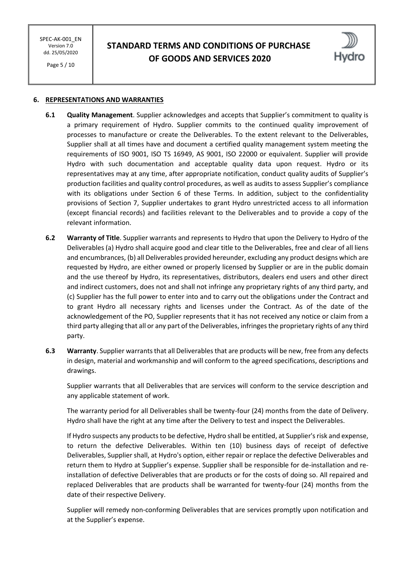Page 5 / 10

# **STANDARD TERMS AND CONDITIONS OF PURCHASE OF GOODS AND SERVICES 2020**



#### **6. REPRESENTATIONS AND WARRANTIES**

- **6.1 Quality Management**. Supplier acknowledges and accepts that Supplier's commitment to quality is a primary requirement of Hydro. Supplier commits to the continued quality improvement of processes to manufacture or create the Deliverables. To the extent relevant to the Deliverables, Supplier shall at all times have and document a certified quality management system meeting the requirements of ISO 9001, ISO TS 16949, AS 9001, ISO 22000 or equivalent. Supplier will provide Hydro with such documentation and acceptable quality data upon request. Hydro or its representatives may at any time, after appropriate notification, conduct quality audits of Supplier's production facilities and quality control procedures, as well as audits to assess Supplier's compliance with its obligations under Section 6 of these Terms. In addition, subject to the confidentiality provisions of Section 7, Supplier undertakes to grant Hydro unrestricted access to all information (except financial records) and facilities relevant to the Deliverables and to provide a copy of the relevant information.
- **6.2 Warranty of Title**. Supplier warrants and represents to Hydro that upon the Delivery to Hydro of the Deliverables (a) Hydro shall acquire good and clear title to the Deliverables, free and clear of all liens and encumbrances, (b) all Deliverables provided hereunder, excluding any product designs which are requested by Hydro, are either owned or properly licensed by Supplier or are in the public domain and the use thereof by Hydro, its representatives, distributors, dealers end users and other direct and indirect customers, does not and shall not infringe any proprietary rights of any third party, and (c) Supplier has the full power to enter into and to carry out the obligations under the Contract and to grant Hydro all necessary rights and licenses under the Contract. As of the date of the acknowledgement of the PO, Supplier represents that it has not received any notice or claim from a third party alleging that all or any part of the Deliverables, infringes the proprietary rights of any third party.
- **6.3 Warranty**. Supplier warrants that all Deliverables that are products will be new, free from any defects in design, material and workmanship and will conform to the agreed specifications, descriptions and drawings.

Supplier warrants that all Deliverables that are services will conform to the service description and any applicable statement of work.

The warranty period for all Deliverables shall be twenty-four (24) months from the date of Delivery. Hydro shall have the right at any time after the Delivery to test and inspect the Deliverables.

If Hydro suspects any products to be defective, Hydro shall be entitled, at Supplier's risk and expense, to return the defective Deliverables. Within ten (10) business days of receipt of defective Deliverables, Supplier shall, at Hydro's option, either repair or replace the defective Deliverables and return them to Hydro at Supplier's expense. Supplier shall be responsible for de-installation and reinstallation of defective Deliverables that are products or for the costs of doing so. All repaired and replaced Deliverables that are products shall be warranted for twenty-four (24) months from the date of their respective Delivery.

Supplier will remedy non-conforming Deliverables that are services promptly upon notification and at the Supplier's expense.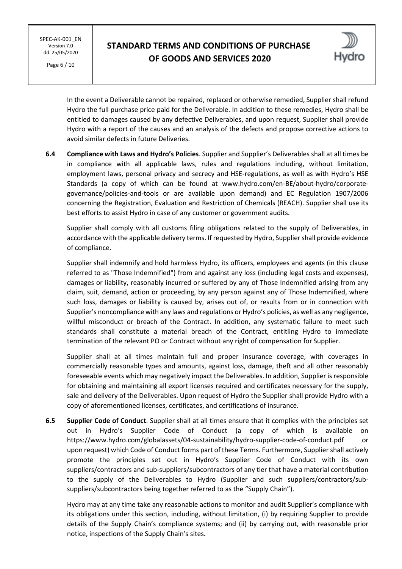Page 6 / 10

# **STANDARD TERMS AND CONDITIONS OF PURCHASE OF GOODS AND SERVICES 2020**



In the event a Deliverable cannot be repaired, replaced or otherwise remedied, Supplier shall refund Hydro the full purchase price paid for the Deliverable. In addition to these remedies, Hydro shall be entitled to damages caused by any defective Deliverables, and upon request, Supplier shall provide Hydro with a report of the causes and an analysis of the defects and propose corrective actions to avoid similar defects in future Deliveries.

**6.4 Compliance with Laws and Hydro's Policies**. Supplier and Supplier's Deliverables shall at all times be in compliance with all applicable laws, rules and regulations including, without limitation, employment laws, personal privacy and secrecy and HSE-regulations, as well as with Hydro's HSE Standards (a copy of which can be found at www.hydro.com/en-BE/about-hydro/corporategovernance/policies-and-tools or are available upon demand) and EC Regulation 1907/2006 concerning the Registration, Evaluation and Restriction of Chemicals (REACH). Supplier shall use its best efforts to assist Hydro in case of any customer or government audits.

Supplier shall comply with all customs filing obligations related to the supply of Deliverables, in accordance with the applicable delivery terms. If requested by Hydro, Supplier shall provide evidence of compliance.

Supplier shall indemnify and hold harmless Hydro, its officers, employees and agents (in this clause referred to as "Those Indemnified") from and against any loss (including legal costs and expenses), damages or liability, reasonably incurred or suffered by any of Those Indemnified arising from any claim, suit, demand, action or proceeding, by any person against any of Those Indemnified, where such loss, damages or liability is caused by, arises out of, or results from or in connection with Supplier's noncompliance with any laws and regulations or Hydro's policies, as well as any negligence, willful misconduct or breach of the Contract. In addition, any systematic failure to meet such standards shall constitute a material breach of the Contract, entitling Hydro to immediate termination of the relevant PO or Contract without any right of compensation for Supplier.

Supplier shall at all times maintain full and proper insurance coverage, with coverages in commercially reasonable types and amounts, against loss, damage, theft and all other reasonably foreseeable events which may negatively impact the Deliverables. In addition, Supplier is responsible for obtaining and maintaining all export licenses required and certificates necessary for the supply, sale and delivery of the Deliverables. Upon request of Hydro the Supplier shall provide Hydro with a copy of aforementioned licenses, certificates, and certifications of insurance.

**6.5 Supplier Code of Conduct**. Supplier shall at all times ensure that it complies with the principles set out in Hydro's Supplier Code of Conduct (a copy of which is available on https://www.hydro.com/globalassets/04-sustainability/hydro-supplier-code-of-conduct.pdf or upon request) which Code of Conduct forms part of these Terms. Furthermore, Supplier shall actively promote the principles set out in Hydro's Supplier Code of Conduct with its own suppliers/contractors and sub-suppliers/subcontractors of any tier that have a material contribution to the supply of the Deliverables to Hydro (Supplier and such suppliers/contractors/subsuppliers/subcontractors being together referred to as the "Supply Chain").

Hydro may at any time take any reasonable actions to monitor and audit Supplier's compliance with its obligations under this section, including, without limitation, (i) by requiring Supplier to provide details of the Supply Chain's compliance systems; and (ii) by carrying out, with reasonable prior notice, inspections of the Supply Chain's sites.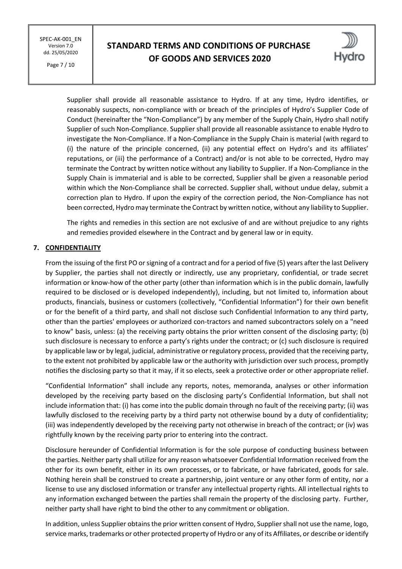Page 7 / 10

# **STANDARD TERMS AND CONDITIONS OF PURCHASE OF GOODS AND SERVICES 2020**



Supplier shall provide all reasonable assistance to Hydro. If at any time, Hydro identifies, or reasonably suspects, non-compliance with or breach of the principles of Hydro's Supplier Code of Conduct (hereinafter the "Non-Compliance") by any member of the Supply Chain, Hydro shall notify Supplier of such Non-Compliance. Supplier shall provide all reasonable assistance to enable Hydro to investigate the Non-Compliance. If a Non-Compliance in the Supply Chain is material (with regard to (i) the nature of the principle concerned, (ii) any potential effect on Hydro's and its affiliates' reputations, or (iii) the performance of a Contract) and/or is not able to be corrected, Hydro may terminate the Contract by written notice without any liability to Supplier. If a Non-Compliance in the Supply Chain is immaterial and is able to be corrected, Supplier shall be given a reasonable period within which the Non-Compliance shall be corrected. Supplier shall, without undue delay, submit a correction plan to Hydro. If upon the expiry of the correction period, the Non-Compliance has not been corrected, Hydro may terminate the Contract by written notice, without any liability to Supplier.

The rights and remedies in this section are not exclusive of and are without prejudice to any rights and remedies provided elsewhere in the Contract and by general law or in equity.

### **7. CONFIDENTIALITY**

From the issuing of the first PO or signing of a contract and for a period of five (5) years after the last Delivery by Supplier, the parties shall not directly or indirectly, use any proprietary, confidential, or trade secret information or know-how of the other party (other than information which is in the public domain, lawfully required to be disclosed or is developed independently), including, but not limited to, information about products, financials, business or customers (collectively, "Confidential Information") for their own benefit or for the benefit of a third party, and shall not disclose such Confidential Information to any third party, other than the parties' employees or authorized con-tractors and named subcontractors solely on a "need to know" basis, unless: (a) the receiving party obtains the prior written consent of the disclosing party; (b) such disclosure is necessary to enforce a party's rights under the contract; or (c) such disclosure is required by applicable law or by legal, judicial, administrative or regulatory process, provided that the receiving party, to the extent not prohibited by applicable law or the authority with jurisdiction over such process, promptly notifies the disclosing party so that it may, if it so elects, seek a protective order or other appropriate relief.

"Confidential Information" shall include any reports, notes, memoranda, analyses or other information developed by the receiving party based on the disclosing party's Confidential Information, but shall not include information that: (i) has come into the public domain through no fault of the receiving party; (ii) was lawfully disclosed to the receiving party by a third party not otherwise bound by a duty of confidentiality; (iii) was independently developed by the receiving party not otherwise in breach of the contract; or (iv) was rightfully known by the receiving party prior to entering into the contract.

Disclosure hereunder of Confidential Information is for the sole purpose of conducting business between the parties. Neither party shall utilize for any reason whatsoever Confidential Information received from the other for its own benefit, either in its own processes, or to fabricate, or have fabricated, goods for sale. Nothing herein shall be construed to create a partnership, joint venture or any other form of entity, nor a license to use any disclosed information or transfer any intellectual property rights. All intellectual rights to any information exchanged between the parties shall remain the property of the disclosing party. Further, neither party shall have right to bind the other to any commitment or obligation.

In addition, unless Supplier obtains the prior written consent of Hydro, Supplier shall not use the name, logo, service marks, trademarks or other protected property of Hydro or any of its Affiliates, or describe or identify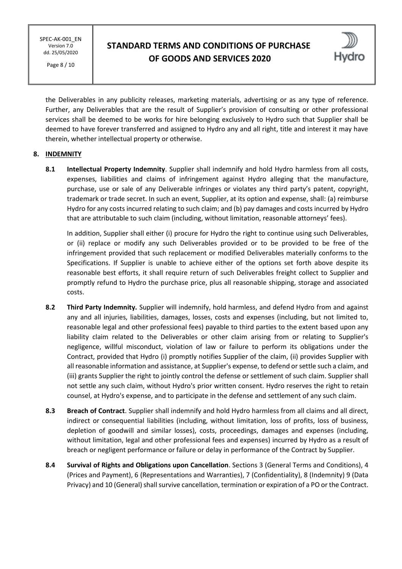Page 8 / 10

# **STANDARD TERMS AND CONDITIONS OF PURCHASE OF GOODS AND SERVICES 2020**



the Deliverables in any publicity releases, marketing materials, advertising or as any type of reference. Further, any Deliverables that are the result of Supplier's provision of consulting or other professional services shall be deemed to be works for hire belonging exclusively to Hydro such that Supplier shall be deemed to have forever transferred and assigned to Hydro any and all right, title and interest it may have therein, whether intellectual property or otherwise.

#### **8. INDEMNITY**

**8.1 Intellectual Property Indemnity**. Supplier shall indemnify and hold Hydro harmless from all costs, expenses, liabilities and claims of infringement against Hydro alleging that the manufacture, purchase, use or sale of any Deliverable infringes or violates any third party's patent, copyright, trademark or trade secret. In such an event, Supplier, at its option and expense, shall: (a) reimburse Hydro for any costs incurred relating to such claim; and (b) pay damages and costs incurred by Hydro that are attributable to such claim (including, without limitation, reasonable attorneys' fees).

In addition, Supplier shall either (i) procure for Hydro the right to continue using such Deliverables, or (ii) replace or modify any such Deliverables provided or to be provided to be free of the infringement provided that such replacement or modified Deliverables materially conforms to the Specifications. If Supplier is unable to achieve either of the options set forth above despite its reasonable best efforts, it shall require return of such Deliverables freight collect to Supplier and promptly refund to Hydro the purchase price, plus all reasonable shipping, storage and associated costs.

- **8.2 Third Party Indemnity.** Supplier will indemnify, hold harmless, and defend Hydro from and against any and all injuries, liabilities, damages, losses, costs and expenses (including, but not limited to, reasonable legal and other professional fees) payable to third parties to the extent based upon any liability claim related to the Deliverables or other claim arising from or relating to Supplier's negligence, willful misconduct, violation of law or failure to perform its obligations under the Contract, provided that Hydro (i) promptly notifies Supplier of the claim, (ii) provides Supplier with all reasonable information and assistance, at Supplier's expense, to defend or settle such a claim, and (iii) grants Supplier the right to jointly control the defense or settlement of such claim. Supplier shall not settle any such claim, without Hydro's prior written consent. Hydro reserves the right to retain counsel, at Hydro's expense, and to participate in the defense and settlement of any such claim.
- **8.3 Breach of Contract**. Supplier shall indemnify and hold Hydro harmless from all claims and all direct, indirect or consequential liabilities (including, without limitation, loss of profits, loss of business, depletion of goodwill and similar losses), costs, proceedings, damages and expenses (including, without limitation, legal and other professional fees and expenses) incurred by Hydro as a result of breach or negligent performance or failure or delay in performance of the Contract by Supplier.
- **8.4 Survival of Rights and Obligations upon Cancellation**. Sections 3 (General Terms and Conditions), 4 (Prices and Payment), 6 (Representations and Warranties), 7 (Confidentiality), 8 (Indemnity) 9 (Data Privacy) and 10 (General) shall survive cancellation, termination or expiration of a PO or the Contract.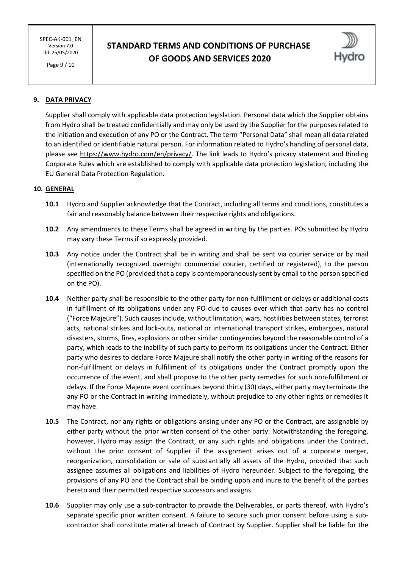Page 9 / 10

# **STANDARD TERMS AND CONDITIONS OF PURCHASE OF GOODS AND SERVICES 2020**



## **9. DATA PRIVACY**

Supplier shall comply with applicable data protection legislation. Personal data which the Supplier obtains from Hydro shall be treated confidentially and may only be used by the Supplier for the purposes related to the initiation and execution of any PO or the Contract. The term "Personal Data" shall mean all data related to an identified or identifiable natural person. For information related to Hydro's handling of personal data, please see<https://www.hydro.com/en/privacy/>. The link leads to Hydro's privacy statement and Binding Corporate Rules which are established to comply with applicable data protection legislation, including the EU General Data Protection Regulation.

#### **10. GENERAL**

- **10.1** Hydro and Supplier acknowledge that the Contract, including all terms and conditions, constitutes a fair and reasonably balance between their respective rights and obligations.
- **10.2** Any amendments to these Terms shall be agreed in writing by the parties. POs submitted by Hydro may vary these Terms if so expressly provided.
- **10.3** Any notice under the Contract shall be in writing and shall be sent via courier service or by mail (internationally recognized overnight commercial courier, certified or registered), to the person specified on the PO (provided that a copy is contemporaneously sent by email to the person specified on the PO).
- **10.4** Neither party shall be responsible to the other party for non-fulfillment or delays or additional costs in fulfillment of its obligations under any PO due to causes over which that party has no control ("Force Majeure"). Such causes include, without limitation, wars, hostilities between states, terrorist acts, national strikes and lock-outs, national or international transport strikes, embargoes, natural disasters, storms, fires, explosions or other similar contingencies beyond the reasonable control of a party, which leads to the inability of such party to perform its obligations under the Contract. Either party who desires to declare Force Majeure shall notify the other party in writing of the reasons for non-fulfillment or delays in fulfillment of its obligations under the Contract promptly upon the occurrence of the event, and shall propose to the other party remedies for such non-fulfillment or delays. If the Force Majeure event continues beyond thirty (30) days, either party may terminate the any PO or the Contract in writing immediately, without prejudice to any other rights or remedies it may have.
- **10.5** The Contract, nor any rights or obligations arising under any PO or the Contract, are assignable by either party without the prior written consent of the other party. Notwithstanding the foregoing, however, Hydro may assign the Contract, or any such rights and obligations under the Contract, without the prior consent of Supplier if the assignment arises out of a corporate merger, reorganization, consolidation or sale of substantially all assets of the Hydro, provided that such assignee assumes all obligations and liabilities of Hydro hereunder. Subject to the foregoing, the provisions of any PO and the Contract shall be binding upon and inure to the benefit of the parties hereto and their permitted respective successors and assigns.
- **10.6** Supplier may only use a sub-contractor to provide the Deliverables, or parts thereof, with Hydro's separate specific prior written consent. A failure to secure such prior consent before using a subcontractor shall constitute material breach of Contract by Supplier. Supplier shall be liable for the